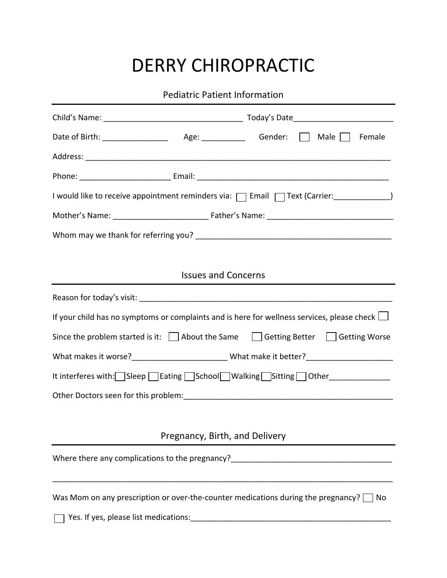## DERRY CHIROPRACTIC

Pediatric Patient Information

| I would like to receive appointment reminders via:   Email   Text (Carrier: ____________)          |  |  |  |  |  |
|----------------------------------------------------------------------------------------------------|--|--|--|--|--|
|                                                                                                    |  |  |  |  |  |
|                                                                                                    |  |  |  |  |  |
|                                                                                                    |  |  |  |  |  |
| <b>Issues and Concerns</b>                                                                         |  |  |  |  |  |
|                                                                                                    |  |  |  |  |  |
| If your child has no symptoms or complaints and is here for wellness services, please check $\Box$ |  |  |  |  |  |
| Since the problem started is it: $\Box$ About the Same $\Box$ Getting Better $\Box$ Getting Worse  |  |  |  |  |  |
|                                                                                                    |  |  |  |  |  |
| It interferes with: Sleep Eating School Walking Sitting Other ____________                         |  |  |  |  |  |
|                                                                                                    |  |  |  |  |  |
|                                                                                                    |  |  |  |  |  |
| Pregnancy, Birth, and Delivery                                                                     |  |  |  |  |  |
| Where there any complications to the pregnancy?                                                    |  |  |  |  |  |
|                                                                                                    |  |  |  |  |  |
| Was Mom on any prescription or over-the-counter medications during the pregnancy?<br>  No          |  |  |  |  |  |
|                                                                                                    |  |  |  |  |  |